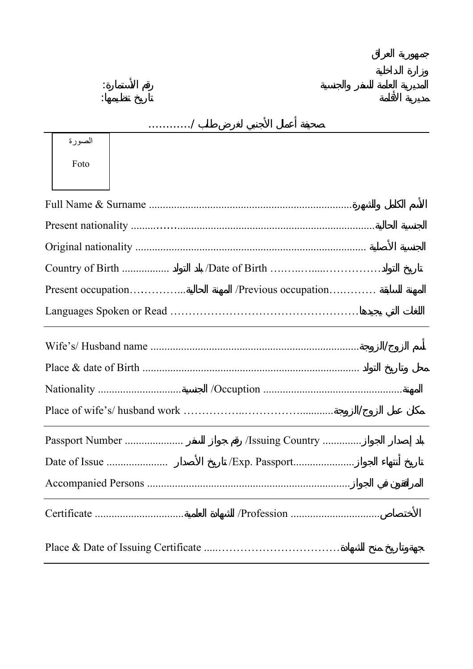|                    | . /                  |
|--------------------|----------------------|
| الصورة             |                      |
| Foto               |                      |
|                    |                      |
|                    |                      |
|                    |                      |
|                    |                      |
|                    |                      |
| Present occupation | /Previous occupation |
|                    |                      |
|                    |                      |
|                    |                      |
|                    | Issuing Country      |
|                    |                      |
|                    | /Exp. Passport       |

المديرية العامة للسفر والجنسية رقم الأستمارة: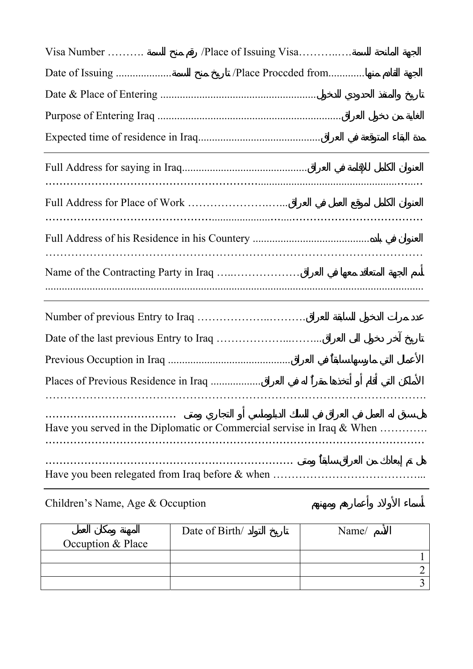| Visa Number                          | /Place of Issuing Visa                                                    |
|--------------------------------------|---------------------------------------------------------------------------|
|                                      | /Place Proccded from                                                      |
|                                      |                                                                           |
|                                      |                                                                           |
|                                      |                                                                           |
|                                      |                                                                           |
|                                      |                                                                           |
|                                      |                                                                           |
|                                      |                                                                           |
|                                      |                                                                           |
|                                      |                                                                           |
|                                      |                                                                           |
| Places of Previous Residence in Iraq |                                                                           |
|                                      | Have you served in the Diplomatic or Commercial servise in Iraq $\&$ When |
|                                      |                                                                           |

## Children's Name, Age & Occuption

|                   | Date of Birth/ | Name/ |
|-------------------|----------------|-------|
| Occuption & Place |                |       |
|                   |                |       |
|                   |                |       |
|                   |                |       |